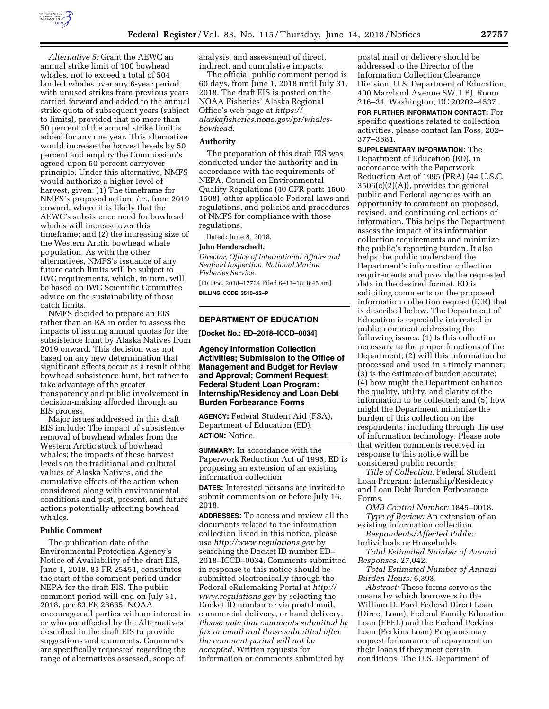

*Alternative 5:* Grant the AEWC an annual strike limit of 100 bowhead whales, not to exceed a total of 504 landed whales over any 6-year period, with unused strikes from previous years carried forward and added to the annual strike quota of subsequent years (subject to limits), provided that no more than 50 percent of the annual strike limit is added for any one year. This alternative would increase the harvest levels by 50 percent and employ the Commission's agreed-upon 50 percent carryover principle. Under this alternative, NMFS would authorize a higher level of harvest, given: (1) The timeframe for NMFS's proposed action, *i.e.,* from 2019 onward, where it is likely that the AEWC's subsistence need for bowhead whales will increase over this timeframe; and (2) the increasing size of the Western Arctic bowhead whale population. As with the other alternatives, NMFS's issuance of any future catch limits will be subject to IWC requirements, which, in turn, will be based on IWC Scientific Committee advice on the sustainability of those catch limits.

NMFS decided to prepare an EIS rather than an EA in order to assess the impacts of issuing annual quotas for the subsistence hunt by Alaska Natives from 2019 onward. This decision was not based on any new determination that significant effects occur as a result of the bowhead subsistence hunt, but rather to take advantage of the greater transparency and public involvement in decision-making afforded through an EIS process.

Major issues addressed in this draft EIS include: The impact of subsistence removal of bowhead whales from the Western Arctic stock of bowhead whales; the impacts of these harvest levels on the traditional and cultural values of Alaska Natives, and the cumulative effects of the action when considered along with environmental conditions and past, present, and future actions potentially affecting bowhead whales.

## **Public Comment**

The publication date of the Environmental Protection Agency's Notice of Availability of the draft EIS, June 1, 2018, 83 FR 25451, constitutes the start of the comment period under NEPA for the draft EIS. The public comment period will end on July 31, 2018, per 83 FR 26665. NOAA encourages all parties with an interest in or who are affected by the Alternatives described in the draft EIS to provide suggestions and comments. Comments are specifically requested regarding the range of alternatives assessed, scope of

analysis, and assessment of direct, indirect, and cumulative impacts.

The official public comment period is 60 days, from June 1, 2018 until July 31, 2018. The draft EIS is posted on the NOAA Fisheries' Alaska Regional Office's web page at *[https://](https://alaskafisheries.noaa.gov/pr/whales-bowhead) [alaskafisheries.noaa.gov/pr/whales](https://alaskafisheries.noaa.gov/pr/whales-bowhead)[bowhead.](https://alaskafisheries.noaa.gov/pr/whales-bowhead)* 

## **Authority**

[The preparation of this draft EIS was](https://alaskafisheries.noaa.gov/pr/whales-bowhead)  conducted under the authority and in accordance with the requirements of NEPA, Council on Environmental Quality Regulations (40 CFR parts 1500– 1508), other applicable Federal laws and regulations, and policies and procedures of NMFS for compliance with those regulations.

Dated: June 8, 2018.

# **John Henderschedt,**

*Director, Office of International Affairs and Seafood Inspection, National Marine Fisheries Service.* 

[FR Doc. 2018–12734 Filed 6–13–18; 8:45 am] **BILLING CODE 3510–22–P** 

# **DEPARTMENT OF EDUCATION**

**[Docket No.: ED–2018–ICCD–0034]** 

**Agency Information Collection Activities; Submission to the Office of Management and Budget for Review and Approval; Comment Request; Federal Student Loan Program: Internship/Residency and Loan Debt Burden Forbearance Forms** 

**AGENCY:** Federal Student Aid (FSA), Department of Education (ED). **ACTION:** Notice.

**SUMMARY:** In accordance with the Paperwork Reduction Act of 1995, ED is proposing an extension of an existing information collection.

**DATES:** Interested persons are invited to submit comments on or before July 16, 2018.

**ADDRESSES:** To access and review all the documents related to the information collection listed in this notice, please use *<http://www.regulations.gov>*by searching the Docket ID number ED– 2018–ICCD–0034. Comments submitted in response to this notice should be submitted electronically through the Federal eRulemaking Portal at *[http://](http://www.regulations.gov) [www.regulations.gov](http://www.regulations.gov)* by selecting the Docket ID number or via postal mail, commercial delivery, or hand delivery. *Please note that comments submitted by fax or email and those submitted after the comment period will not be accepted.* Written requests for information or comments submitted by

postal mail or delivery should be addressed to the Director of the Information Collection Clearance Division, U.S. Department of Education, 400 Maryland Avenue SW, LBJ, Room 216–34, Washington, DC 20202–4537.

**FOR FURTHER INFORMATION CONTACT:** For specific questions related to collection activities, please contact Ian Foss, 202– 377–3681.

**SUPPLEMENTARY INFORMATION:** The Department of Education (ED), in accordance with the Paperwork Reduction Act of 1995 (PRA) (44 U.S.C.  $3506(c)(2)(A)$ , provides the general public and Federal agencies with an opportunity to comment on proposed, revised, and continuing collections of information. This helps the Department assess the impact of its information collection requirements and minimize the public's reporting burden. It also helps the public understand the Department's information collection requirements and provide the requested data in the desired format. ED is soliciting comments on the proposed information collection request (ICR) that is described below. The Department of Education is especially interested in public comment addressing the following issues: (1) Is this collection necessary to the proper functions of the Department; (2) will this information be processed and used in a timely manner; (3) is the estimate of burden accurate; (4) how might the Department enhance the quality, utility, and clarity of the information to be collected; and (5) how might the Department minimize the burden of this collection on the respondents, including through the use of information technology. Please note that written comments received in response to this notice will be considered public records.

*Title of Collection:* Federal Student Loan Program: Internship/Residency and Loan Debt Burden Forbearance Forms.

*OMB Control Number:* 1845–0018. *Type of Review:* An extension of an existing information collection.

*Respondents/Affected Public:*  Individuals or Households.

*Total Estimated Number of Annual Responses:* 27,042.

*Total Estimated Number of Annual Burden Hours:* 6,393.

*Abstract:* These forms serve as the means by which borrowers in the William D. Ford Federal Direct Loan (Direct Loan), Federal Family Education Loan (FFEL) and the Federal Perkins Loan (Perkins Loan) Programs may request forbearance of repayment on their loans if they meet certain conditions. The U.S. Department of